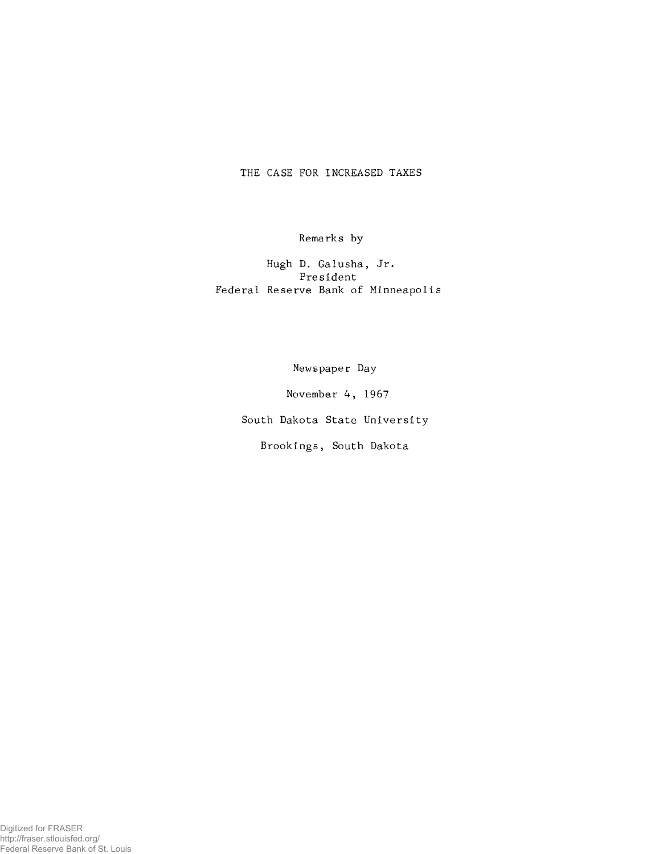# THE CASE FOR INCREASED TAXES

Remarks by

Hugh D. Galusha, Jr. President Federal Reserve Bank of Minneapol

Newspaper Day

November 4, 1967

South Dakota State University

Brookings, South Dakota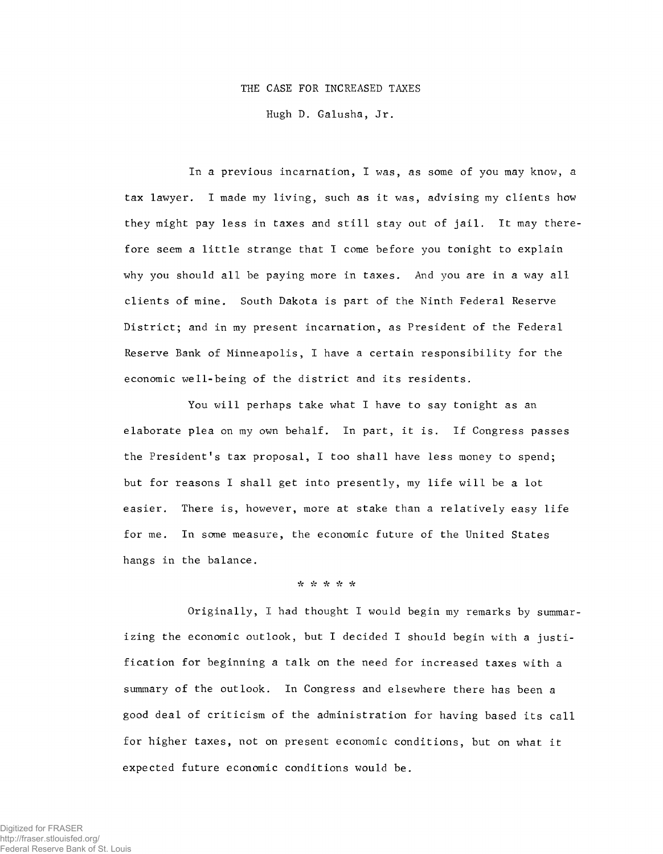### THE CASE FOR INCREASED TAXES

Hugh D. Galusha, Jr.

In a previous incarnation, I was, as some of you may know, a tax lawyer. I made my living, such as it was, advising my clients how they might pay less in taxes and still stay out of jail. It may therefore seem a little strange that I come before you tonight to explain why you should all be paying more in taxes. And you are in a way all clients of mine. South Dakota is part of the Ninth Federal Reserve District; and in my present incarnation, as President of the Federal Reserve Bank of Minneapolis, I have a certain responsibility for the economic well-being of the district and its residents.

You will perhaps take what I have to say tonight as an elaborate plea on my own behalf. In part, it is. If Congress passes the President's tax proposal, I too shall have less money to spend; but for reasons I shall get into presently, my life will be a lot easier. There is, however, more at stake than a relatively easy life for me. In some measure, the economic future of the United States hangs in the balance.

### \* *•k* \*

Originally, I had thought I would begin my remarks by summarizing the economic outlook, but I decided I should begin with a justification for beginning a talk on the need for increased taxes with a summary of the outlook. In Congress and elsewhere there has been a good deal of criticism of the administration for having based its call for higher taxes, not on present economic conditions, but on what it expected future economic conditions would be.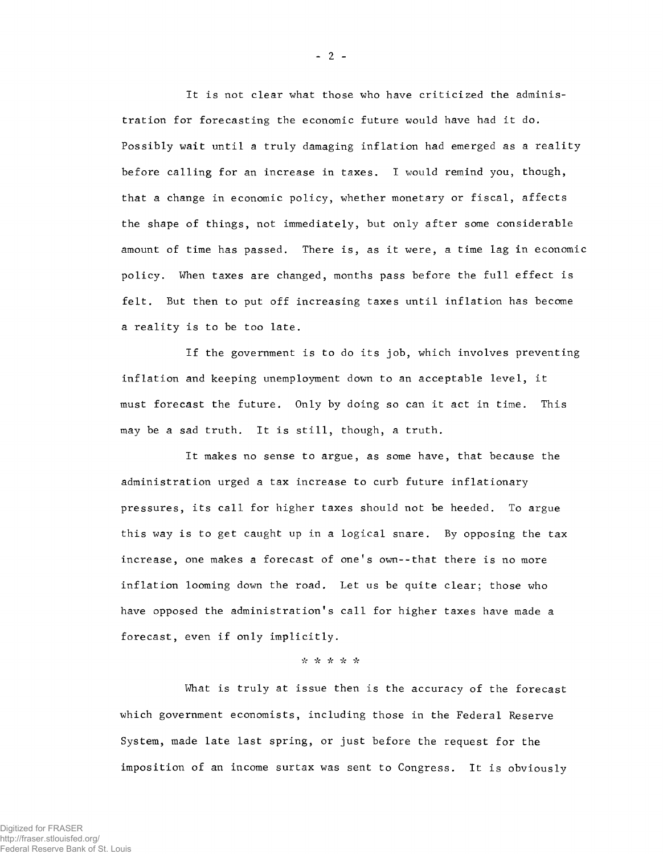It is not clear what those who have criticized the administration for forecasting the economic future would have had it do. Possibly wait until a truly damaging inflation had emerged as a reality before calling for an increase in taxes. I would remind you, though, that a change in economic policy, whether monetary or fiscal, affects the shape of things, not immediately, but only after some considerable amount of time has passed. There is, as it were, a time lag in economic policy. When taxes are changed, months pass before the full effect is felt. But then to put off increasing taxes until inflation has become a reality is to be too late.

If the government is to do its job, which involves preventing inflation and keeping unemployment down to an acceptable level, it must forecast the future. Only by doing so can it act in time. This may be a sad truth. It is still, though, a truth.

It makes no sense to argue, as some have, that because the administration urged a tax increase to curb future inflationary pressures, its call for higher taxes should not be heeded. To argue this way is to get caught up in a logical snare. By opposing the tax increase, one makes a forecast of one's own--that there is no more inflation looming down the road. Let us be quite clear; those who have opposed the administration's call for higher taxes have made a forecast, even if only implicitly.

# \* \* \* \* \*

What is truly at issue then is the accuracy of the forecast which government economists, including those in the Federal Reserve System, made late last spring, or just before the request for the imposition of an income surtax was sent to Congress. It is obviously

 $-2 -$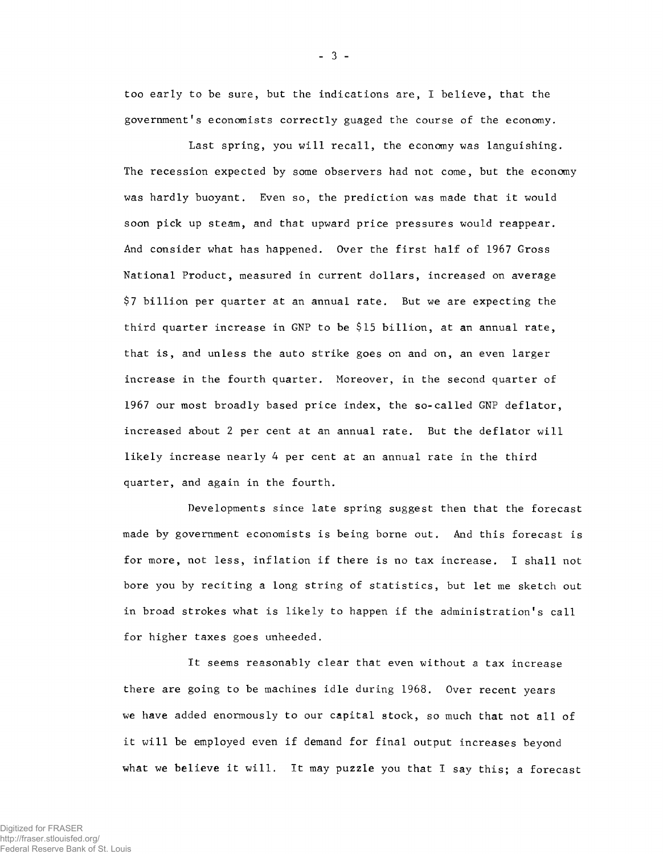too early to be sure, but the indications are, I believe, that the government's economists correctly guaged the course of the economy.

Last spring, you will recall, the economy was languishing. The recession expected by some observers had not come, but the economy was hardly buoyant. Even so, the prediction was made that it would soon pick up steam, and that upward price pressures would reappear. And consider what has happened. Over the first half of 1967 Gross National Product, measured in current dollars, increased on average \$7 billion per quarter at an annual rate. But we are expecting the third quarter increase in GNP to be \$15 billion, at an annual rate, that is, and unless the auto strike goes on and on, an even larger increase in the fourth quarter. Moreover, in the second quarter of 1967 our most broadly based price index, the so-called GNP deflator, increased about 2 per cent at an annual rate. But the deflator will likely increase nearly 4 per cent at an annual rate in the third quarter, and again in the fourth.

Developments since late spring suggest then that the forecast made by government economists is being borne out. And this forecast is for more, not less, inflation if there is no tax increase. I shall not bore you by reciting a long string of statistics, but let me sketch out in broad strokes what is likely to happen if the administration's call for higher taxes goes unheeded.

It seems reasonably clear that even without a tax increase there are going to be machines idle during 1968. Over recent years we have added enormously to our capital stock, so much that not all of it will be employed even if demand for final output increases beyond what we believe it will. It may puzzle you that I say this; a forecast

- 3 -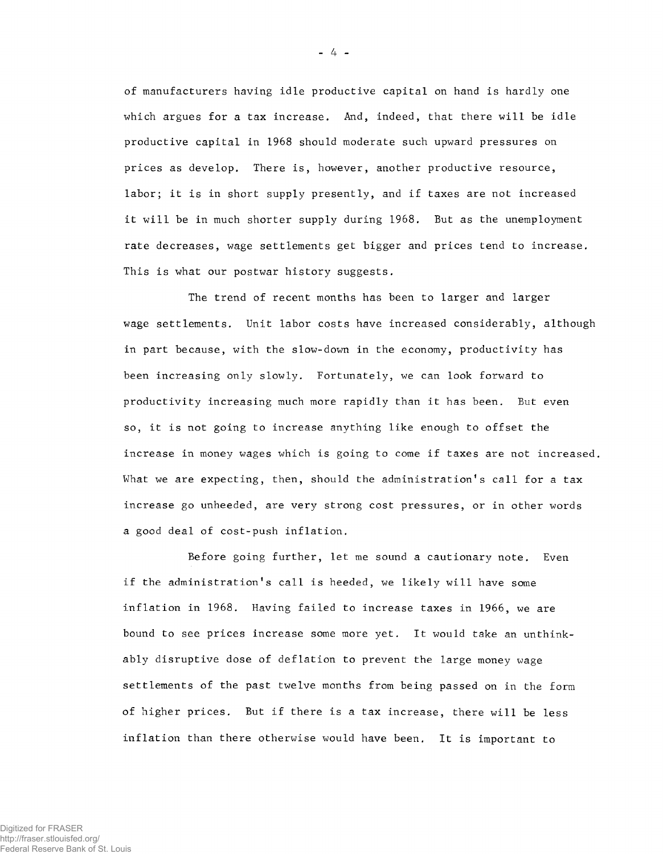of manufacturers having idle productive capital on hand is hardly one which argues for a tax increase. And, indeed, that there will be idle productive capital in 1968 should moderate such upward pressures on prices as develop. There is, however, another productive resource, labor; it is in short supply presently, and if taxes are not increased it will be in much shorter supply during 1968. But as the unemployment rate decreases, wage settlements get bigger and prices tend to increase. This is what our postwar history suggests.

The trend of recent months has been to larger and larger wage settlements. Unit labor costs have increased considerably, although in part because, with the slow-down in the economy, productivity has been increasing only slowly. Fortunately, we can look forward to productivity increasing much more rapidly than it has been. But even so, it is not going to increase anything like enough to offset the increase in money wages which is going to come if taxes are not increased. What we are expecting, then, should the administration's call for a tax increase go unheeded, are very strong cost pressures, or in other words a good deal of cost-push inflation.

Before going further, let me sound a cautionary note. Even if the administration's call is heeded, we likely will have some inflation in 1968. Having failed to increase taxes in 1966, we are bound to see prices increase some more yet. It would take an unthinkably disruptive dose of deflation to prevent the large money wage settlements of the past twelve months from being passed on in the form of higher prices. But if there is a tax increase, there will be less inflation than there otherwise would have been. It is important to

 $-4 -$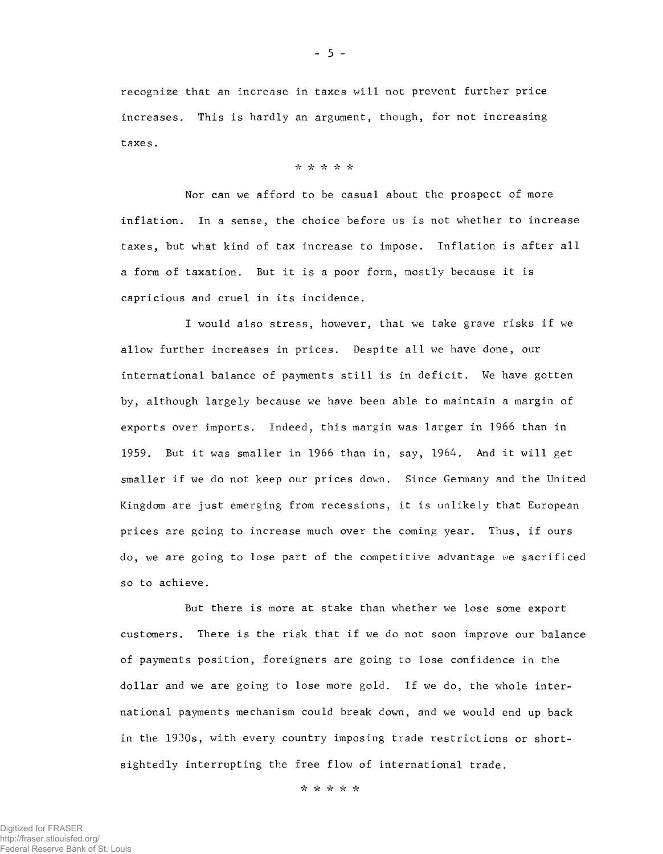recognize that an increase in taxes will not prevent further price increases. This is hardly an argument, though, for not increasing taxes.

## *•k •k "k k k*

Nor can we afford to be casual about the prospect of more inflation. In a sense, the choice before us is not whether to increase taxes, but what kind of tax increase to impose. Inflation is after all a form of taxation. But it is a poor form, mostly because it is capricious and cruel in its incidence.

I would also stress, however, that we take grave risks if we allow further increases in prices. Despite all we have done, our international balance of payments still is in deficit. We have gotten by, although largely because we have been able to maintain a margin of exports over imports. Indeed, this margin was larger in 1966 than in 1959. But it was smaller in 1966 than in, say, 1964. And it will get smaller if we do not keep our prices down. Since Germany and the United Kingdom are just emerging from recessions, it is unlikely that European prices are going to increase much over the coming year. Thus, if ours do, we are going to lose part of the competitive advantage we sacrificed so to achieve.

But there is more at stake than whether we lose some export customers. There is the risk that if we do not soon improve our balance of payments position, foreigners are going to lose confidence in the dollar and we are going to lose more gold. If we do, the whole international payments mechanism could break down, and we would end up back in the 1930s, with every country imposing trade restrictions or shortsightedly interrupting the free flow of international trade.

*k k k* \* *<sup>k</sup>*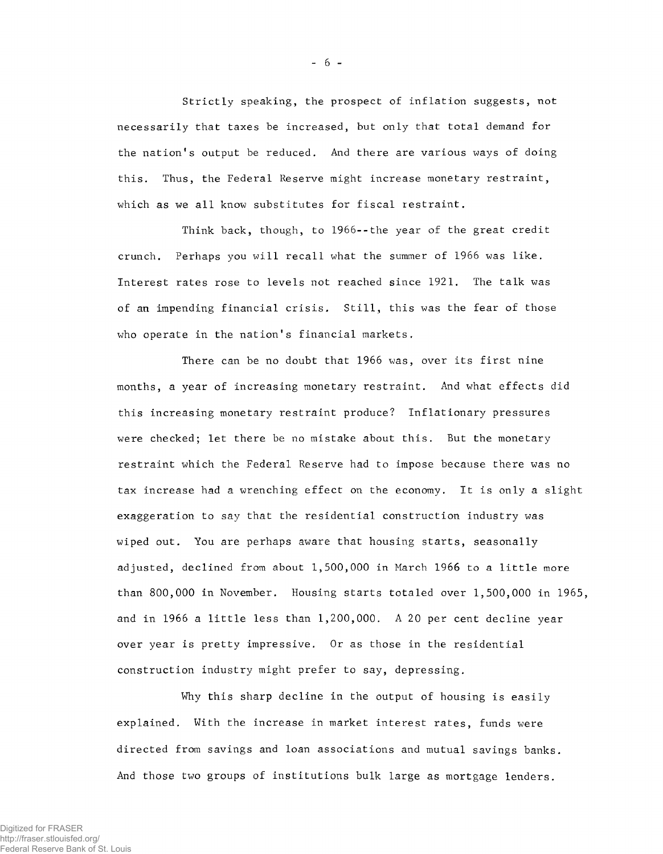Strictly speaking, the prospect of inflation suggests, not necessarily that taxes be increased, but only that total demand for the nation's output be reduced. And there are various ways of doing this. Thus, the Federal Reserve might increase monetary restraint, which as we all know substitutes for fiscal restraint.

- 6 -

Think back, though, to 1966--the year of the great credit crunch. Perhaps you will recall what the summer of 1966 was like. Interest rates rose to levels not reached since 1921. The talk was of an impending financial crisis. Still, this was the fear of those who operate in the nation's financial markets.

There can be no doubt that 1966 was, over its first nine months, a year of increasing monetary restraint. And what effects did this increasing monetary restraint produce? Inflationary pressures were checked; let there be no mistake about this. But the monetary restraint which the Federal Reserve had to impose because there was no tax increase had a wrenching effect on the economy. It is only a slight exaggeration to say that the residential construction industry was wiped out. You are perhaps aware that housing starts, seasonally adjusted, declined from about 1,500,000 in March 1966 to a little more than 800,000 in November. Housing starts totaled over 1,500,000 in 1965, and in 1966 a little less than 1,200,000. A 20 per cent decline year over year is pretty impressive. Or as those in the residential construction industry might prefer to say, depressing.

Why this sharp decline in the output of housing is easily explained. With the increase in market interest rates, funds were directed from savings and loan associations and mutual savings banks. And those two groups of institutions bulk large as mortgage lenders.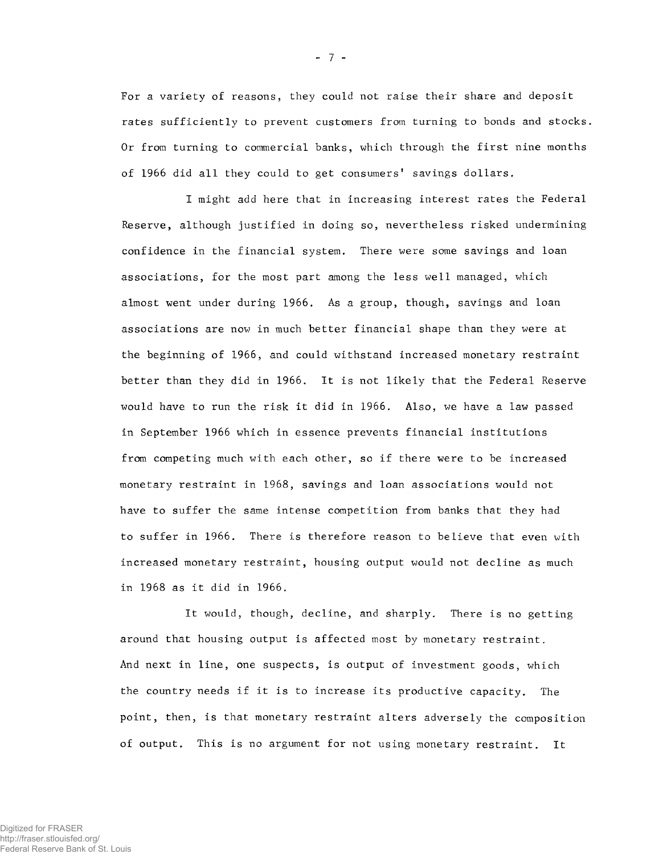For a variety of reasons, they could not raise their share and deposit rates sufficiently to prevent customers from turning to bonds and stocks. Or from turning to commercial banks, which through the first nine months of 1966 did all they could to get consumers' savings dollars.

I might add here that in increasing interest rates the Federal Reserve, although justified in doing so, nevertheless risked undermining confidence in the financial system. There were some savings and loan associations, for the most part among the less well managed, which almost went under during 1966. As a group, though, savings and loan associations are now in much better financial shape than they were at the beginning of 1966, and could withstand increased monetary restraint better than they did in 1966. It is not likely that the Federal Reserve would have to run the risk it did in 1966. Also, we have a law passed in September 1966 which in essence prevents financial institutions from competing much with each other, so if there were to be increased monetary restraint in 1968, savings and loan associations would not have to suffer the same intense competition from banks that they had to suffer in 1966. There is therefore reason to believe that even with increased monetary restraint, housing output would not decline as much in 1968 as it did in 1966.

It would, though, decline, and sharply. There is no getting around that housing output is affected most by monetary restraint. And next in line, one suspects, is output of investment goods, which the country needs if it is to increase its productive capacity. The point, then, is that monetary restraint alters adversely the composition of output. This is no argument for not using monetary restraint. It

- 7 -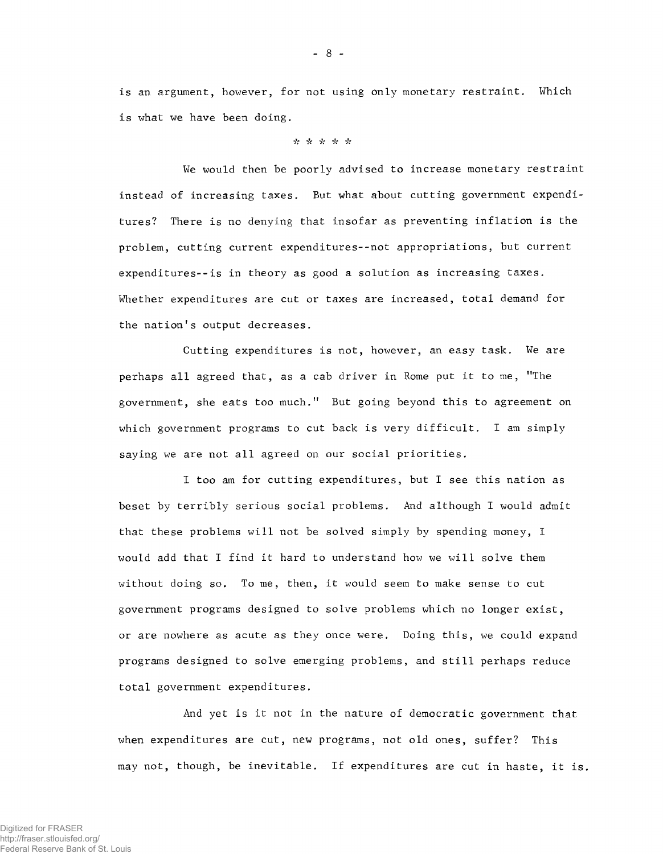is an argument, however, for not using only monetary restraint. Which is what we have been doing.

### *i t •k* \* \* V?

We would then be poorly advised to increase monetary restraint instead of increasing taxes. But what about cutting government expenditures? There is no denying that insofar as preventing inflation is the problem, cutting current expenditures--not appropriations, but current expenditures--is in theory as good a solution as increasing taxes. Whether expenditures are cut or taxes are increased, total demand for the nation's output decreases.

Cutting expenditures is not, however, an easy task. We are perhaps all agreed that, as a cab driver in Rome put it to me, ''The government, she eats too much." But going beyond this to agreement on which government programs to cut back is very difficult. I am simply saying we are not all agreed on our social priorities.

I too am for cutting expenditures, but I see this nation as beset by terribly serious social problems. And although I would admit that these problems will not be solved simply by spending money, I would add that I find it hard to understand how we will solve them without doing so. To me, then, it would seem to make sense to cut government programs designed to solve problems which no longer exist, or are nowhere as acute as they once were. Doing this, we could expand programs designed to solve emerging problems, and still perhaps reduce total government expenditures.

And yet is it not in the nature of democratic government that when expenditures are cut, new programs, not old ones, suffer? This may not, though, be inevitable. If expenditures are cut in haste, it is.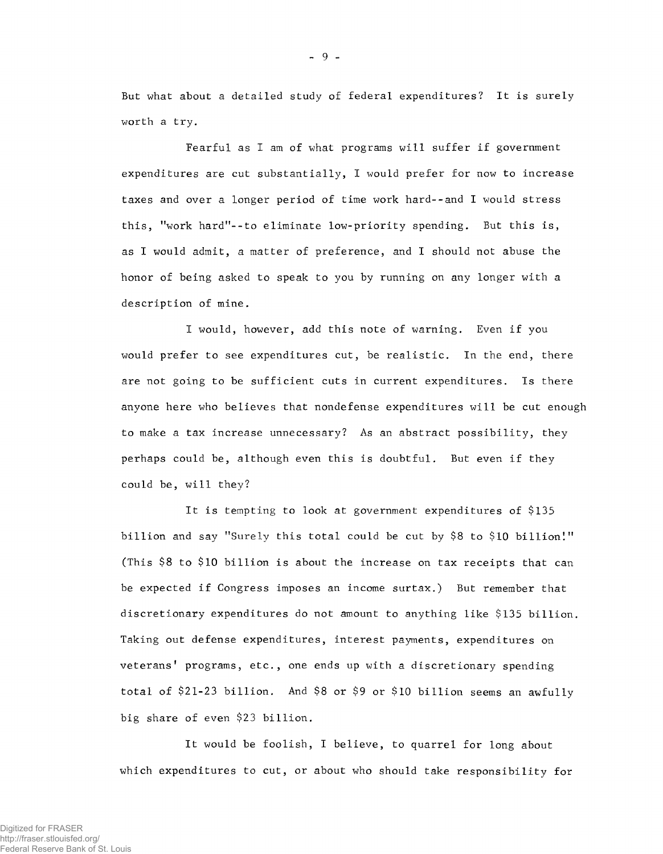But what about a detailed study of federal expenditures? It is surely worth a try.

Fearful as I am of what programs will suffer if government expenditures are cut substantially, I would prefer for now to increase taxes and over a longer period of time work hard--and I would stress this, "work hard"--to eliminate low-priority spending. But this is, as I would admit, a matter of preference, and I should not abuse the honor of being asked to speak to you by running on any longer with a description of mine.

I would, however, add this note of warning. Even if you would prefer to see expenditures cut, be realistic. In the end, there are not going to be sufficient cuts in current expenditures. Is there anyone here who believes that nondefense expenditures will be cut enough to make a tax increase unnecessary? As an abstract possibility, they perhaps could be, although even this is doubtful. But even if they could be, will they?

It is tempting to look at government expenditures of \$135 billion and say "Surely this total could be cut by \$8 to \$10 billion!" (This \$8 to \$10 billion is about the increase on tax receipts that can be expected if Congress imposes an income surtax.) But remember that discretionary expenditures do not amount to anything like \$135 billion. Taking out defense expenditures, interest payments, expenditures on veterans' programs, etc., one ends up with a discretionary spending total of \$21-23 billion. And \$8 or \$9 or \$10 billion seems an awfully big share of even \$23 billion.

It would be foolish, I believe, to quarrel for long about which expenditures to cut, or about who should take responsibility for